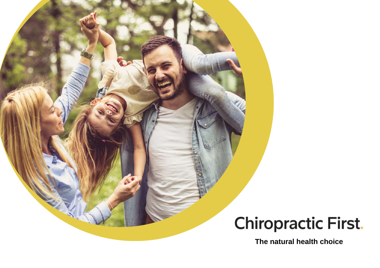# **Chiropractic First.**

**The natural health choice**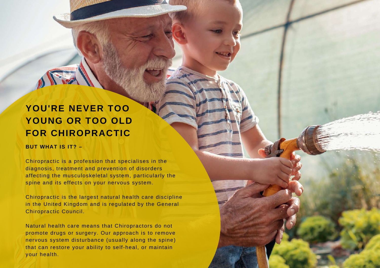## **YOU'RE NEVER TOO YOUNG OR TOO OLD FOR CHIROPRACTIC**

#### **BUT WHAT IS IT? –**

Chiropractic is a profession that specialises in the diagnosis, treatment and prevention of disorders affecting the musculoskeletal system, particularly the spine and its effects on your nervous system.

Chiropractic is the largest natural health care discipline in the United Kingdom and is regulated by the General Chiropractic Council.

Natural health care means that Chiropractors do not promote drugs or surgery. Our approach is to remove nervous system disturbance (usually along the spine) that can restore your ability to self-heal, or maintain your health.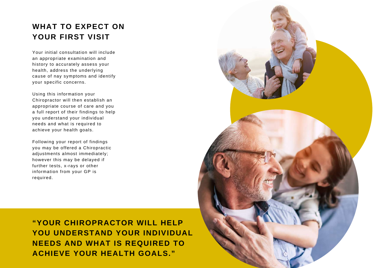## **WHAT TO EXPECT ON YOUR FIRST VISIT**

Your initial consultation will include an appropriate examination and history to accurately assess your health, address the underlying cause of nay symptoms and identify your specific concerns.

Using this information your Chiropractor will then establish an appropriate course of care and you a full report of their findings to help you understand your individual needs and what is required to achieve your health goals.

Following your report of findings you may be offered a Chiropractic adjustments almost immediately; however this may be delayed if further tests, x-rays or other information from your GP is required.

**"YOUR CHIROPRACTOR WILL HELP YOU UNDERSTAND YOUR INDIVIDUAL NEEDS AND WHAT IS REQUIRED TO ACHIEVE YOUR HEALTH GOALS."**

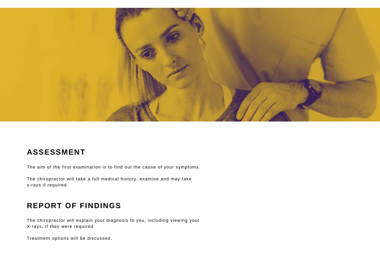

## **ASSESSMENT**

The aim of the first examination is to find out the cause of your symptoms.

The chiropractor will take a full medical history, examine and may take x-rays if required.

## **REPORT OF FINDINGS**

The chiropractor will explain your diagnosis to you, including viewing your X-rays, if they were required.

Treatment options will be discussed.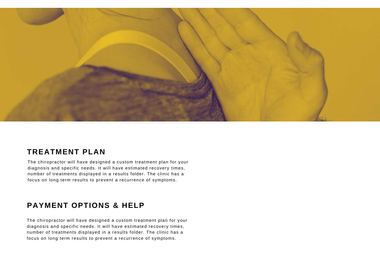

## **TREATMENT PLAN**

The chiropractor will have designed a custom treatment plan for your diagnosis and specific needs. It will have estimated recovery times, number of treatments displayed in a results folder. The clinic has a focus on long term results to prevent a recurrence of symptoms.

## **PAYMENT OPTIONS & HELP**

The chiropractor will have designed a custom treatment plan for your diagnosis and specific needs. It will have estimated recovery times, number of treatments displayed in a results folder. The clinic has a focus on long term results to prevent a recurrence of symptoms.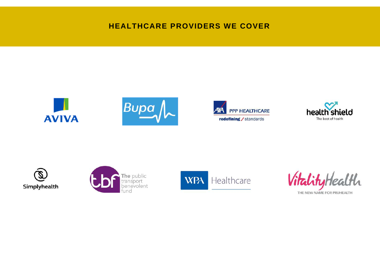## **HEALTHCARE PROVIDERS WE COVER**















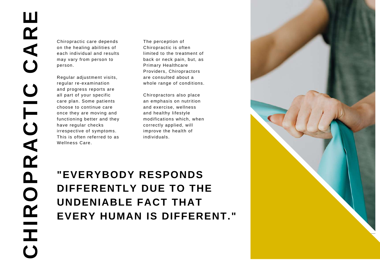Chiropractic care depends on the healing abilities of each individual and results may vary from person to person.

Regular adjustment visits, regular re-examination and progress reports are all part of your specific care plan. Some patients choose to continue care once they are moving and functioning better and they have regular checks irrespective of symptoms. This is often referred to as Wellness Care.

The perception of Chiropractic is often limited to the treatment of back or neck pain, but, as Primary Healthcare Providers, Chiropractors are consulted about a whole range of conditions.

Chiropractors also place an emphasis on nutrition and exercise, wellness and healthy lifestyle modifications which, when correctly applied, will improve the health of individuals.

## **"EVERYBODY RESPONDS DIFFERENTLY DUE TO THE UNDENIABLE FACT THAT EVERY HUMAN IS DIFFERENT."**

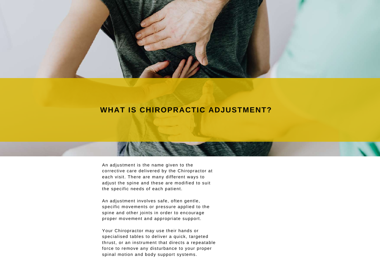

## **WHAT IS CHIROPRACTIC ADJUSTMENT?**

An adjustment is the name given to the corrective care delivered by the Chiropractor at each visit. There are many different ways to adjust the spine and these are modified to suit the specific needs of each patient.

An adjustment involves safe, often gentle, specific movements or pressure applied to the spine and other joints in order to encourage proper movement and appropriate support.

Your Chiropractor may use their hands or specialised tables to deliver a quick, targeted thrust, or an instrument that directs a repeatable force to remove any disturbance to your proper spinal motion and body support systems.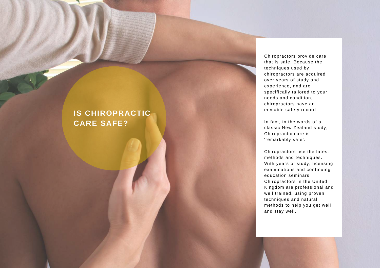Chiropractors provide care that is safe. Because the techniques used by chiropractors are acquired over years of study and experience, and are specifically tailored to your needs and condition, chiropractors have a n enviable safety record.

In fact, in the words of a classic New Zealand study, Chiropractic care is 'remarkably safe'.

Chiropractors use the lates t methods and techniques. With years of study, licen sin g examinations and continuing education seminars, Chiropractors in the United Kingdom are professional and well trained, using proven techniques and natural methods to help you ge t w ell **IS CHIROPRACTIC**<br>
CARE SAFE?<br>
In fact, in the<br>
classic New Zero<br>
"remarkably see<br>
"remarkably see<br>
"remarkably seed the construction of the construction of the chiropractors<br>
well hypers of the examinations of<br>
examinatio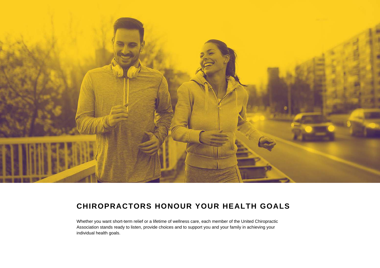

## **CHIROPRACTORS HONOUR YOUR HEALTH GOALS**

Whether you want short-term relief or a lifetime of wellness care, each member of the United Chiropractic Association stands ready to listen, provide choices and to support you and your family in achieving your individual health goals.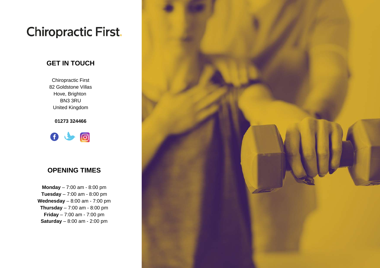## **Chiropractic First.**

### **GET IN TOUCH**

Chiropractic First 82 Goldstone Villas Hove, Brighton BN3 3RU United Kingdom

**01273 324466**



#### **OPENING TIMES**

**Monday** – 7:00 am - 8:00 pm **Tuesday** – 7:00 am - 8:00 pm **Wednesday** – 8:00 am - 7:00 pm **Thursday** – 7:00 am - 8:00 pm **Friday** – 7:00 am - 7:00 pm **Saturday** – 8:00 am - 2:00 pm